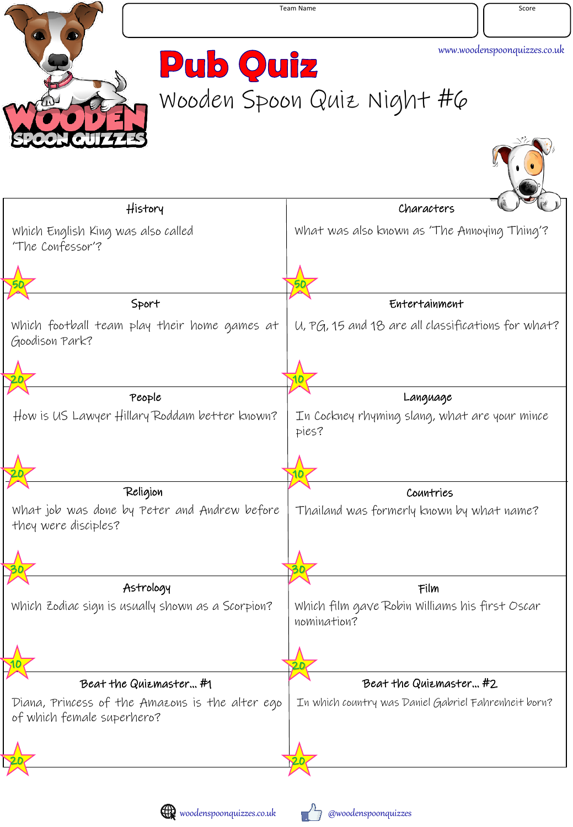

**Pub Quiz** Wooden Spoon Quiz Night #6